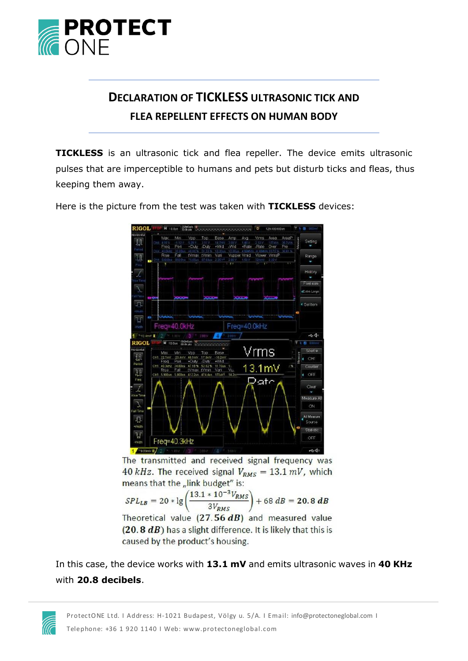

## **DECLARATION OF TICKLESS ULTRASONIC TICK AND FLEA REPELLENT EFFECTS ON HUMAN BODY**

**TICKLESS** is an ultrasonic tick and flea repeller. The device emits ultrasonic pulses that are imperceptible to humans and pets but disturb ticks and fleas, thus keeping them away.



Here is the picture from the test was taken with **TICKLESS** devices:

The transmitted and received signal frequency was 40 kHz. The received signal  $V_{RMS} = 13.1 \, \text{mV}$ , which means that the "link budget" is:

$$
SPL_{LB} = 20 * \lg\left(\frac{13.1 * 10^{-3} V_{RMS}}{3 V_{RMS}}\right) + 68 dB = 20.8 dB
$$

Theoretical value  $(27.56 dB)$  and measured value (20.8 dB) has a slight difference. It is likely that this is caused by the product's housing.

In this case, the device works with **13.1 mV** and emits ultrasonic waves in **40 KHz** with **20.8 decibels**.